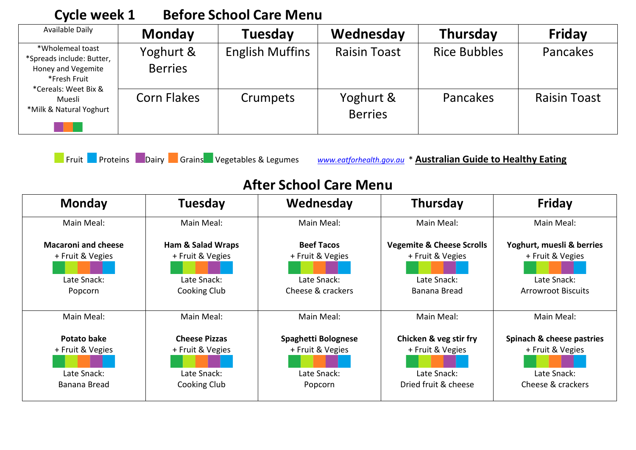| <b>CACIC MACCIN T</b>                                                               |                             | DUIVIU JUNUU UULU IVIUNU |                             |                     |                     |  |  |
|-------------------------------------------------------------------------------------|-----------------------------|--------------------------|-----------------------------|---------------------|---------------------|--|--|
| Available Daily                                                                     | <b>Monday</b>               | <b>Tuesday</b>           | Wednesday                   | <b>Thursday</b>     | Friday              |  |  |
| *Wholemeal toast<br>*Spreads include: Butter,<br>Honey and Vegemite<br>*Fresh Fruit | Yoghurt &<br><b>Berries</b> | <b>English Muffins</b>   | <b>Raisin Toast</b>         | <b>Rice Bubbles</b> | Pancakes            |  |  |
| *Cereals: Weet Bix &<br>Muesli<br>*Milk & Natural Yoghurt                           | <b>Corn Flakes</b>          | Crumpets                 | Yoghurt &<br><b>Berries</b> | Pancakes            | <b>Raisin Toast</b> |  |  |

## **Cycle week 1 Before School Care Menu**

Fruit Proteins Dairy Grains Vegetables & Legumes *[www.eatforhealth.gov.au](http://www.eatforhealth.gov.au/)* \* **Australian Guide to Healthy Eating**

## **After School Care Menu**

| <b>Monday</b>              | <b>Tuesday</b>               | Wednesday           | Thursday                             | <b>Friday</b>             |
|----------------------------|------------------------------|---------------------|--------------------------------------|---------------------------|
| Main Meal:                 | Main Meal:                   | Main Meal:          | Main Meal:                           | Main Meal:                |
| <b>Macaroni and cheese</b> | <b>Ham &amp; Salad Wraps</b> | <b>Beef Tacos</b>   | <b>Vegemite &amp; Cheese Scrolls</b> | Yoghurt, muesli & berries |
| + Fruit & Vegies           | + Fruit & Vegies             | + Fruit & Vegies    | + Fruit & Vegies                     | + Fruit & Vegies          |
| Late Snack:                | Late Snack:                  | Late Snack:         | Late Snack:                          | Late Snack:               |
| Popcorn                    | Cooking Club                 | Cheese & crackers   | Banana Bread                         | <b>Arrowroot Biscuits</b> |
| Main Meal:                 | Main Meal:                   | Main Meal:          | Main Meal:                           | Main Meal:                |
| <b>Potato bake</b>         | <b>Cheese Pizzas</b>         | Spaghetti Bolognese | Chicken & veg stir fry               | Spinach & cheese pastries |
| + Fruit & Vegies           | + Fruit & Vegies             | + Fruit & Vegies    | + Fruit & Vegies                     | + Fruit & Vegies          |
| Late Snack:                | Late Snack:                  | Late Snack:         | Late Snack:                          | Late Snack:               |
| Banana Bread               | Cooking Club                 | Popcorn             | Dried fruit & cheese                 | Cheese & crackers         |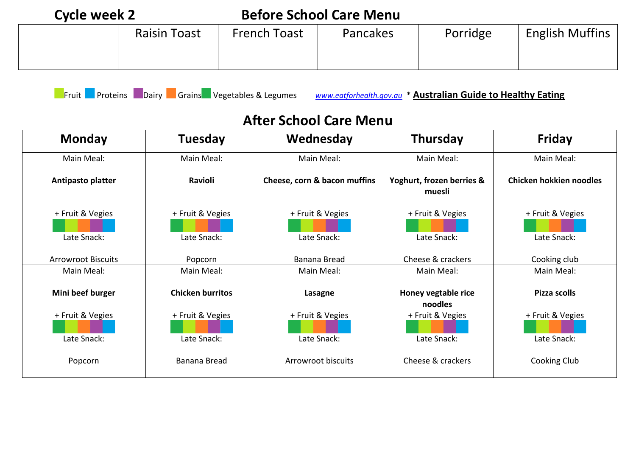| Cycle week 2 |                     |                     | <b>Before School Care Menu</b> |          |                        |
|--------------|---------------------|---------------------|--------------------------------|----------|------------------------|
|              | <b>Raisin Toast</b> | <b>French Toast</b> | <b>Pancakes</b>                | Porridge | <b>English Muffins</b> |

Fruit Proteins Dairy Grains Vegetables & Legumes *[www.eatforhealth.gov.au](http://www.eatforhealth.gov.au/)* \* **Australian Guide to Healthy Eating**

## **After School Care Menu**

| <b>Monday</b>             | <b>Tuesday</b>          | Wednesday                    | <b>Thursday</b>                     | <b>Friday</b>           |
|---------------------------|-------------------------|------------------------------|-------------------------------------|-------------------------|
| Main Meal:                | Main Meal:              | Main Meal:                   | Main Meal:                          | Main Meal:              |
| Antipasto platter         | Ravioli                 | Cheese, corn & bacon muffins | Yoghurt, frozen berries &<br>muesli | Chicken hokkien noodles |
| + Fruit & Vegies          | + Fruit & Vegies        | + Fruit & Vegies             | + Fruit & Vegies                    | + Fruit & Vegies        |
| Late Snack:               | Late Snack:             | Late Snack:                  | Late Snack:                         | Late Snack:             |
| <b>Arrowroot Biscuits</b> | Popcorn                 | Banana Bread                 | Cheese & crackers                   | Cooking club            |
| Main Meal:                | Main Meal:              | Main Meal:                   | Main Meal:                          | Main Meal:              |
| Mini beef burger          | <b>Chicken burritos</b> | Lasagne                      | Honey vegtable rice<br>noodles      | Pizza scolls            |
| + Fruit & Vegies          | + Fruit & Vegies        | + Fruit & Vegies             | + Fruit & Vegies                    | + Fruit & Vegies        |
| Late Snack:               | Late Snack:             | Late Snack:                  | Late Snack:                         | Late Snack:             |
| Popcorn                   | Banana Bread            | Arrowroot biscuits           | Cheese & crackers                   | Cooking Club            |